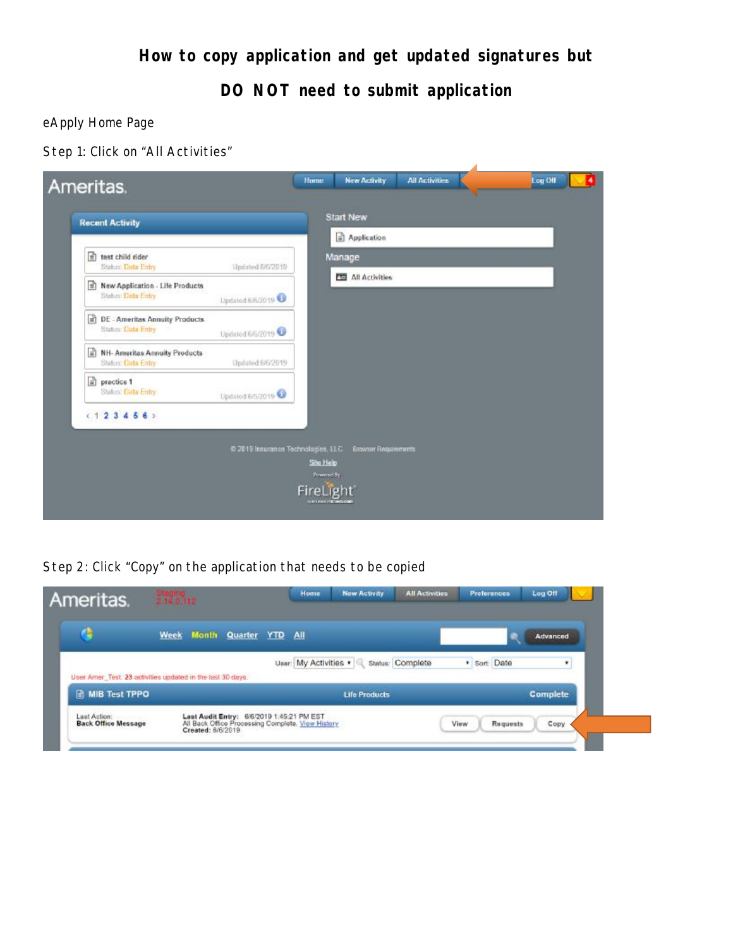**How to copy application and get updated signatures but** 

**DO NOT need to submit application** 

eApply Home Page

Step 1: Click on "All Activities"



Step 2: Click "Copy" on the application that needs to be copied

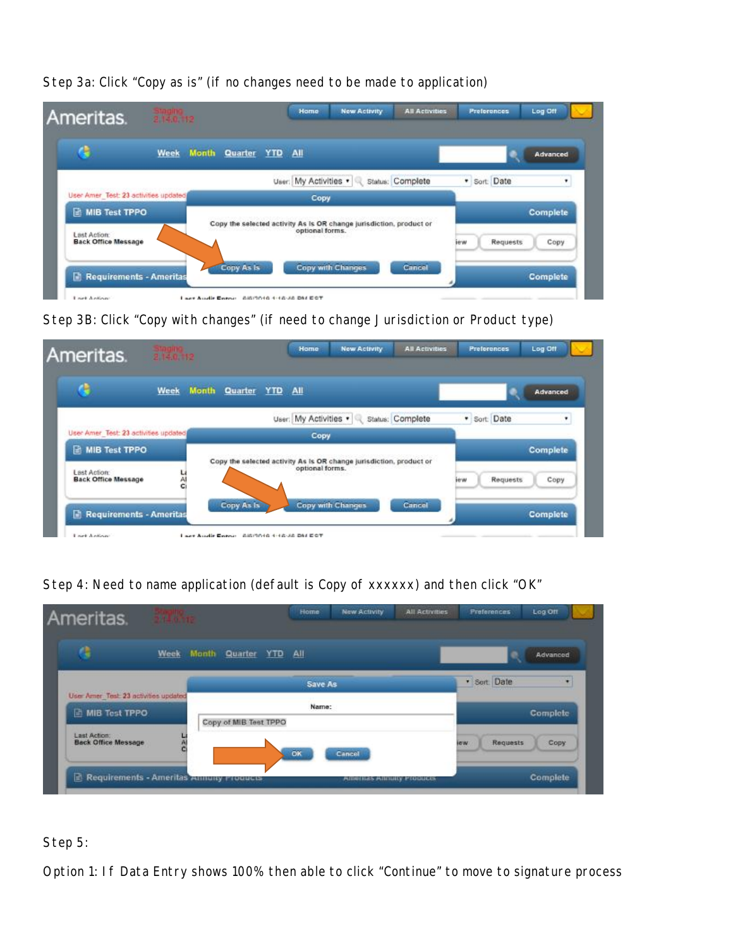| Ameritas.                                  | Staging<br>2.14.0.112 |                      |                | Home                  | <b>New Activity</b>                                                 | <b>All Activities</b> | <b>Preferences</b> | Log Off         |
|--------------------------------------------|-----------------------|----------------------|----------------|-----------------------|---------------------------------------------------------------------|-----------------------|--------------------|-----------------|
| е                                          | Week                  | <b>Month Quarter</b> | <b>YTD All</b> |                       |                                                                     |                       |                    | Advanced        |
|                                            |                       |                      |                | User: My Activities . |                                                                     | Status: Complete      | · Sort: Date       | ٠               |
| User Amer Test: 23 activities updated      |                       |                      |                | Copy                  |                                                                     |                       |                    |                 |
| <b>R MIB Test TPPO</b>                     |                       |                      |                |                       | Copy the selected activity As Is OR change jurisdiction, product or |                       |                    | <b>Complete</b> |
| Last Action:<br><b>Back Office Message</b> |                       |                      |                | optional forms.       |                                                                     |                       | Requests<br>iew    | Copy            |
| Requirements - Ameritas                    |                       | Copy As Is           |                |                       | <b>Copy with Changes</b>                                            | Cancel                |                    | <b>Complete</b> |

Step 3a: Click "Copy as is" (if no changes need to be made to application)

Step 3B: Click "Copy with changes" (if need to change Jurisdiction or Product type)

| Ameritas.                                                            | $\frac{3 \text{n} \text{g} \text{ln} \text{g}}{2.14.0, 112}$ |               |                | Home                  | <b>New Activity</b>                                                 | <b>All Activities</b> | <b>Preferences</b> | Log Off          |
|----------------------------------------------------------------------|--------------------------------------------------------------|---------------|----------------|-----------------------|---------------------------------------------------------------------|-----------------------|--------------------|------------------|
|                                                                      | Week                                                         | Month Quarter | <b>YTD All</b> |                       |                                                                     |                       |                    | Advanced         |
|                                                                      |                                                              |               |                | User: My Activities . |                                                                     | Status: Complete      | · Sort: Date       | ٠                |
| User Amer Test: 23 activities updated                                |                                                              |               |                | Copy                  |                                                                     |                       |                    |                  |
| <b>R MIB Test TPPO</b><br>Last Action:<br><b>Back Office Message</b> | 넓                                                            |               |                | optional forms.       | Copy the selected activity As Is OR change jurisdiction, product or |                       | Requests<br>iew    | Complete<br>Copy |
| Requirements - Ameritas                                              |                                                              | Copy As Is    |                |                       | <b>Copy with Changes</b>                                            | Cancel                |                    | <b>Complete</b>  |

Step 4: Need to name application (default is Copy of xxxxxx) and then click "OK"

| Ameritas.                                                       | <b>STING</b> |                       |         | Home      | <b>New Activity</b>        | <b>All Activities</b> | Preferences            | Log Off  |
|-----------------------------------------------------------------|--------------|-----------------------|---------|-----------|----------------------------|-----------------------|------------------------|----------|
| G                                                               | <b>Week</b>  | Month Quarter         | YTD All |           |                            |                       |                        | Advanced |
|                                                                 |              |                       |         | Save As   |                            |                       | · Sort: Date           |          |
| User Amer Test 23 activities updated<br><b>In MIB Test TPPO</b> |              | Copy of MIB Test TPPO |         | Name:     |                            |                       |                        | Complete |
| Last Action:<br><b>Back Office Message</b>                      |              |                       |         | <b>OK</b> | Cancel                     |                       | <b>Requests</b><br>lew | Copy     |
| Requirements - Ameritas Annuny Proquess                         |              |                       |         |           | America's Amounty Products |                       |                        | Complete |

Step 5:

Option 1: If Data Entry shows 100% then able to click "Continue" to move to signature process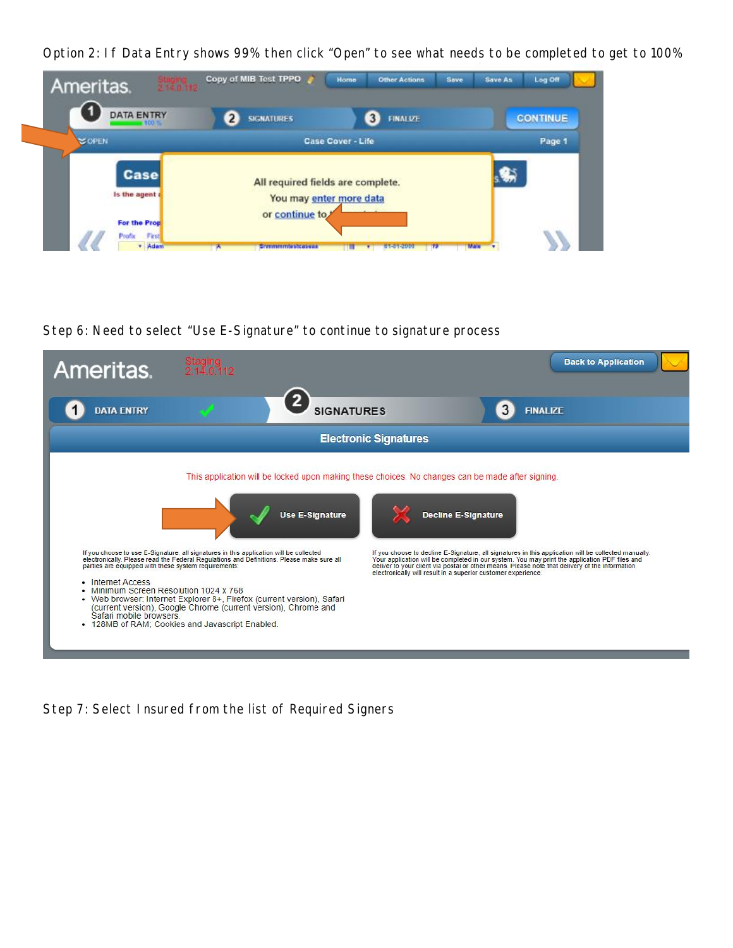Option 2: If Data Entry shows 99% then click "Open" to see what needs to be completed to get to 100%



Step 6: Need to select "Use E-Signature" to continue to signature process



Step 7: Select Insured from the list of Required Signers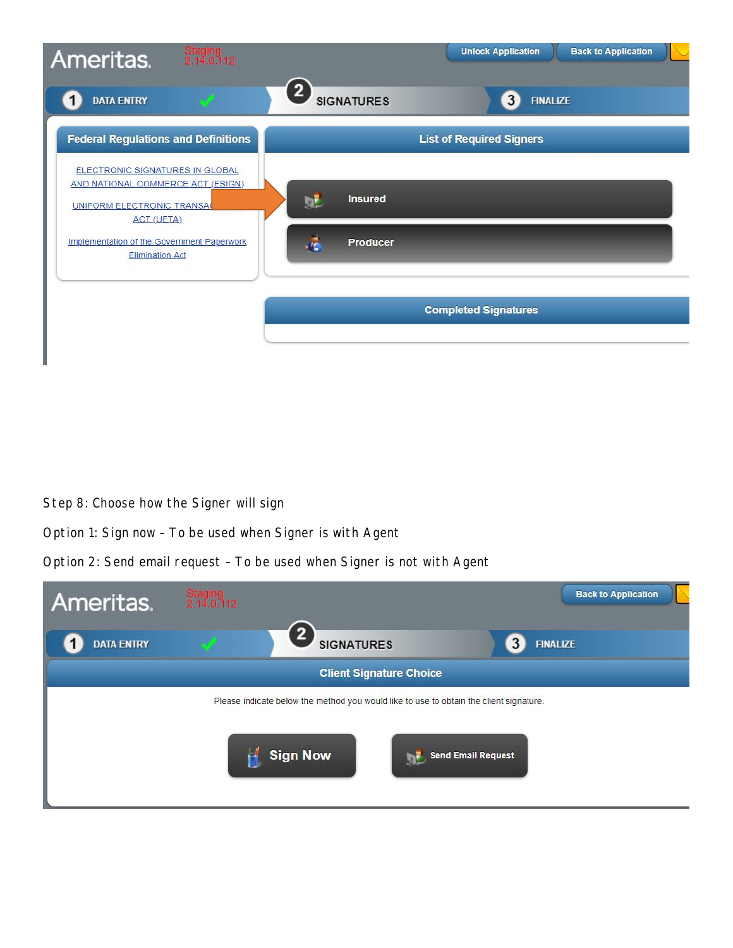

Step 8: Choose how the Signer will sign

Option 1: Sign now – To be used when Signer is with Agent

Option 2: Send email request – To be used when Signer is not with Agent

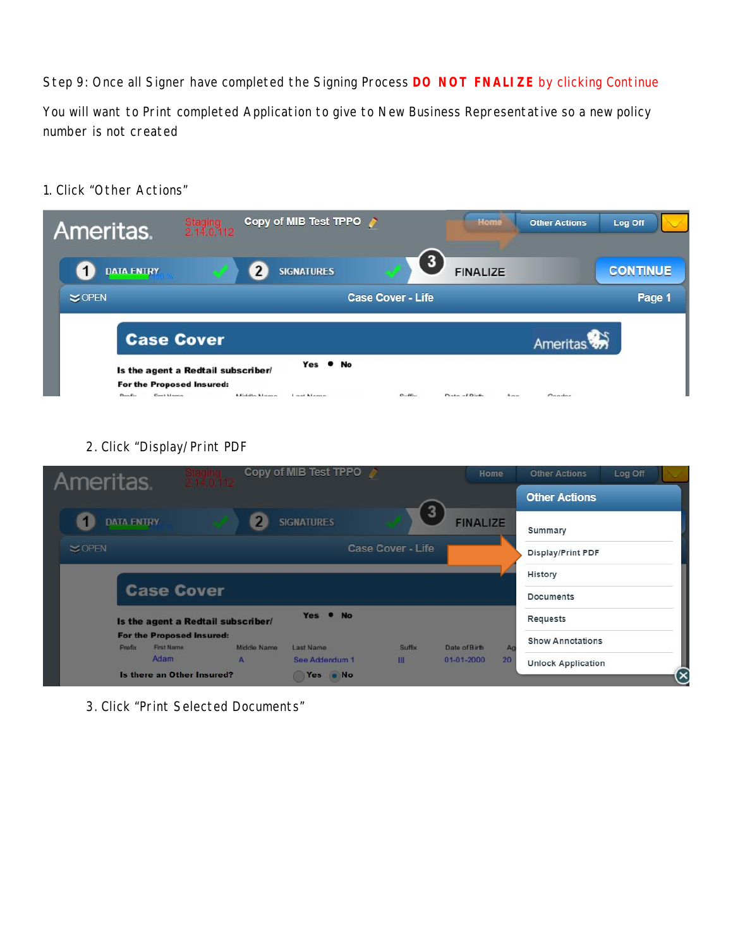Step 9: Once all Signer have completed the Signing Process **DO NOT FNALIZE** by clicking Continue

You will want to Print completed Application to give to New Business Representative so a new policy number is not created

1. Click "Other Actions"

| Ameritas.                    | Staging<br>2.14.0.112                                                                  | Copy of MIB Test TPPO     |                          | Home                  | <b>Other Actions</b> | Log Off         |
|------------------------------|----------------------------------------------------------------------------------------|---------------------------|--------------------------|-----------------------|----------------------|-----------------|
| <b>DATA ENTRY</b>            |                                                                                        | <b>SIGNATURES</b>         | $\mathbf{3}$             | <b>FINALIZE</b>       |                      | <b>CONTINUE</b> |
| $\leq$ OPEN                  |                                                                                        |                           | <b>Case Cover - Life</b> |                       |                      | Page 1          |
|                              | <b>Case Cover</b>                                                                      |                           |                          |                       | Ameritas             |                 |
| <b>Gret Mama</b><br>Den fisc | Is the agent a Redtail subscriber/<br>For the Proposed Insured:<br><b>Middle Messe</b> | Yes . No<br>Load Magazine | $C_1$ , $\delta E_{12}$  | Data of Ridio<br>Acun | Condar               |                 |

2. Click "Display/Print PDF

| Ameritas.                                         | Copy of MIB Test TPPO                  |                          | Home                   | <b>Other Actions</b>          | Log Off |  |
|---------------------------------------------------|----------------------------------------|--------------------------|------------------------|-------------------------------|---------|--|
|                                                   |                                        |                          | 3                      | <b>Other Actions</b>          |         |  |
| <b>DATA FNTRY</b>                                 | <b>SIGNATURES</b>                      |                          | <b>FINALIZE</b>        | Summary                       |         |  |
| $\leq$ OPEN                                       |                                        | <b>Case Cover - Life</b> |                        | Display/Print PDF             |         |  |
|                                                   |                                        |                          |                        | History                       |         |  |
| <b>Case Cover</b>                                 |                                        |                          |                        | <b>Documents</b>              |         |  |
| Is the agent a Redtail subscriber/                |                                        | Yes . No                 |                        | Requests                      |         |  |
| For the Proposed Insured:<br>First Name<br>Prefix | <b>Middle Name</b><br><b>Last Name</b> | <b>Suffix</b>            | Date of Birth          | <b>Show Annotations</b><br>Ag |         |  |
| Adam                                              | ъk.<br>See Addendum 1                  | m                        | 20<br>$01 - 01 - 2000$ | <b>Unlock Application</b>     |         |  |
| Is there an Other Insured?                        | Yes oNo                                |                          |                        |                               |         |  |

3. Click "Print Selected Documents"